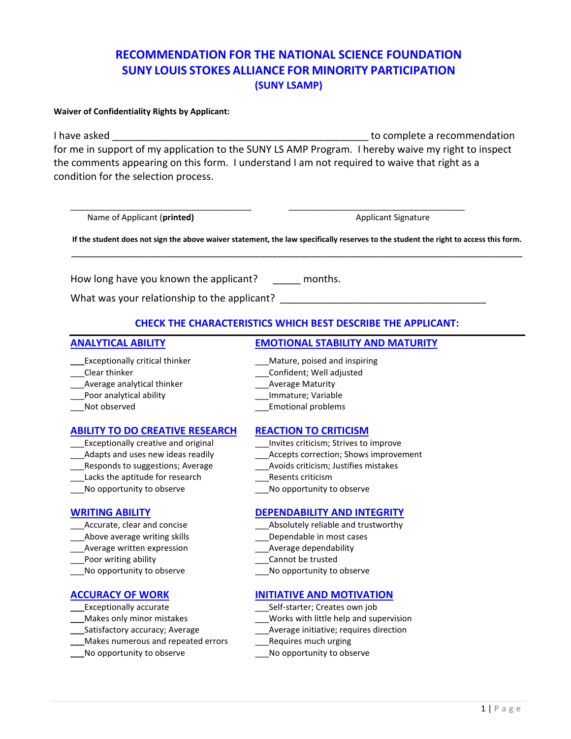# **RECOMMENDATION FOR THE NATIONAL SCIENCE FOUNDATION SUNY LOUIS STOKES ALLIANCE FOR MINORITY PARTICIPATION (SUNY LSAMP)**

## **Waiver of Confidentiality Rights by Applicant:**

I have asked **EXECUTE:** I have asked **the set of the set of the set of the set of the set of the set of the set of the set of the set of the set of the set of the set of the set of the set of the set of the set of the set** for me in support of my application to the SUNY LS AMP Program. I hereby waive my right to inspect the comments appearing on this form. I understand I am not required to waive that right as a condition for the selection process.

\_\_\_\_\_\_\_\_\_\_\_\_\_\_\_\_\_\_\_\_\_\_\_\_\_\_\_\_\_\_\_\_\_\_\_\_\_\_\_ \_\_\_\_\_\_\_\_\_\_\_\_\_\_\_\_\_\_\_\_\_\_\_\_\_\_\_\_\_\_\_\_\_\_\_\_\_\_

Name of Applicant (**printed)** Applicant Signature Applicant Signature Applicant Signature

**If the student does not sign the above waiver statement, the law specifically reserves to the student the right to access this form.** \_\_\_\_\_\_\_\_\_\_\_\_\_\_\_\_\_\_\_\_\_\_\_\_\_\_\_\_\_\_\_\_\_\_\_\_\_\_\_\_\_\_\_\_\_\_\_\_\_\_\_\_\_\_\_\_\_\_\_\_\_\_\_\_\_\_\_\_\_\_\_\_\_\_\_\_\_\_\_\_\_

How long have you known the applicant? \_\_\_\_\_ months.

What was your relationship to the applicant?

# **CHECK THE CHARACTERISTICS WHICH BEST DESCRIBE THE APPLICANT:**

## **\_\_\_Exceptionally critical thinker** \_\_\_\_\_\_\_\_\_\_\_\_\_\_\_\_Mature, poised and inspiring

- 
- \_\_\_Average analytical thinker discussed analytical thinker and all average Maturity
- \_\_\_Poor analytical ability \_\_\_Immature; Variable
- 

## **ABILITY TO DO CREATIVE RESEARCH REACTION TO CRITICISM**

- Exceptionally creative and original **Exceptionally creative and original Exceptionally** creative and original
- 
- 
- Lacks the aptitude for research The Resents criticism
- No opportunity to observe **Example 20** No opportunity to observe

- 
- 
- Average written expression exceeding a subset of Average dependability
- Let the poor writing ability the second section of the cannot be trusted
- \_\_\_No opportunity to observe \_\_\_No opportunity to observe

- 
- 
- 
- **\_\_\_**Makes numerous and repeated errors \_\_\_Requires much urging
- 

# **ANALYTICAL ABILITY EMOTIONAL STABILITY AND MATURITY**

- 
- \_\_\_Clear thinker \_\_\_Confident; Well adjusted
	-
	-
- Not observed expansion of the control of the Emotional problems

- 
- \_\_\_Adapts and uses new ideas readily \_\_\_Accepts correction; Shows improvement
- \_\_\_Responds to suggestions; Average \_\_\_Avoids criticism; Justifies mistakes
	-
	-

# **WRITING ABILITY DEPENDABILITY AND INTEGRITY**

- Accurate, clear and concise example and trustworthy and trustworthy
	- Above average writing skills example and the Dependable in most cases
		-
		-
		-

# **ACCURACY OF WORK INITIATIVE AND MOTIVATION**

- **\_\_\_**Exceptionally accurate \_\_\_Self-starter; Creates own job
- **\_\_\_**Makes only minor mistakes \_\_\_Works with little help and supervision
	- **\_\_\_**Average initiative; requires direction
	-
- **\_\_\_**No opportunity to observe \_\_\_No opportunity to observe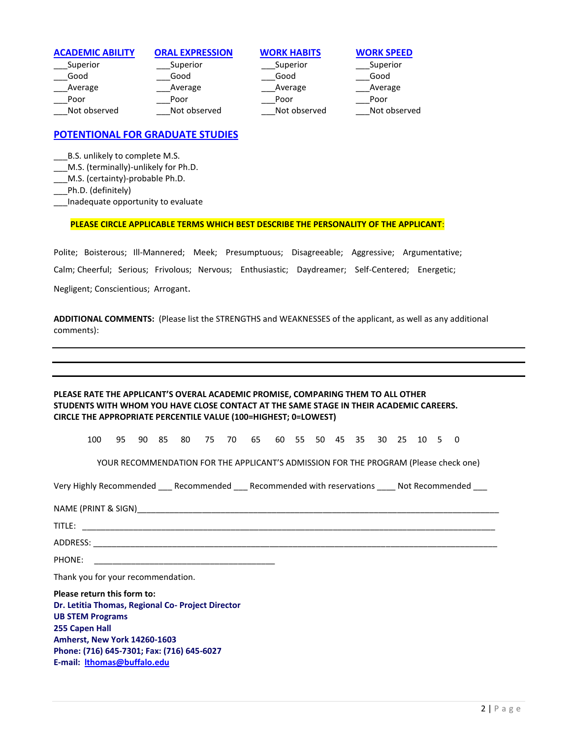| <b>ACADEMIC ABILITY</b> | <b>ORAL EXPRESSION</b> | <b>WORK HABITS</b> | <b>WORK SPEED</b> |
|-------------------------|------------------------|--------------------|-------------------|
| Superior                | Superior               | Superior           | Superior          |
| Good                    | Good                   | Good               | Good              |
| Average                 | Average                | Average            | Average           |
| Poor                    | Poor                   | Poor               | Poor              |
| Not observed            | Not observed           | Not observed       | Not observed      |

# **POTENTIONAL FOR GRADUATE STUDIES**

\_\_\_B.S. unlikely to complete M.S.

- M.S. (terminally)-unlikely for Ph.D.
- \_\_\_M.S. (certainty)-probable Ph.D.
- \_\_\_Ph.D. (definitely)
- \_\_\_Inadequate opportunity to evaluate

## **PLEASE CIRCLE APPLICABLE TERMS WHICH BEST DESCRIBE THE PERSONALITY OF THE APPLICANT**:

Polite; Boisterous; Ill-Mannered; Meek; Presumptuous; Disagreeable; Aggressive; Argumentative; Calm; Cheerful; Serious; Frivolous; Nervous; Enthusiastic; Daydreamer; Self-Centered; Energetic; Negligent; Conscientious; Arrogant.

**ADDITIONAL COMMENTS:** (Please list the STRENGTHS and WEAKNESSES of the applicant, as well as any additional comments):

## **PLEASE RATE THE APPLICANT'S OVERAL ACADEMIC PROMISE, COMPARING THEM TO ALL OTHER STUDENTS WITH WHOM YOU HAVE CLOSE CONTACT AT THE SAME STAGE IN THEIR ACADEMIC CAREERS. CIRCLE THE APPROPRIATE PERCENTILE VALUE (100=HIGHEST; 0=LOWEST)**

100 95 90 85 80 75 70 65 60 55 50 45 35 30 25 10 5 0

YOUR RECOMMENDATION FOR THE APPLICANT'S ADMISSION FOR THE PROGRAM (Please check one)

Very Highly Recommended \_\_\_ Recommended \_\_\_ Recommended with reservations \_\_\_ Not Recommended

NAME (PRINT & SIGN)\_\_\_\_\_\_\_\_\_\_\_\_\_\_\_\_\_\_\_\_\_\_\_\_\_\_\_\_\_\_\_\_\_\_\_\_\_\_\_\_\_\_\_\_\_\_\_\_\_\_\_\_\_\_\_\_\_\_\_\_\_\_\_\_\_\_\_\_\_\_\_\_\_\_\_\_\_\_

TITLE: \_\_\_\_\_\_\_\_\_\_\_\_\_\_\_\_\_\_\_\_\_\_\_\_\_\_\_\_\_\_\_\_\_\_\_\_\_\_\_\_\_\_\_\_\_\_\_\_\_\_\_\_\_\_\_\_\_\_\_\_\_\_\_\_\_\_\_\_\_\_\_\_\_\_\_\_\_\_\_\_\_\_\_\_\_\_\_\_\_

 $\Delta \text{DDRESS:}\quad$ 

PHONE:

Thank you for your recommendation.

**Please return this form to: Dr. Letitia Thomas, Regional Co- Project Director UB STEM Programs 255 Capen Hall Amherst, New York 14260-1603 Phone: (716) 645-7301; Fax: (716) 645-6027 E-mail: [lthomas@buffalo.edu](mailto:lthomas@buffalo.edu)**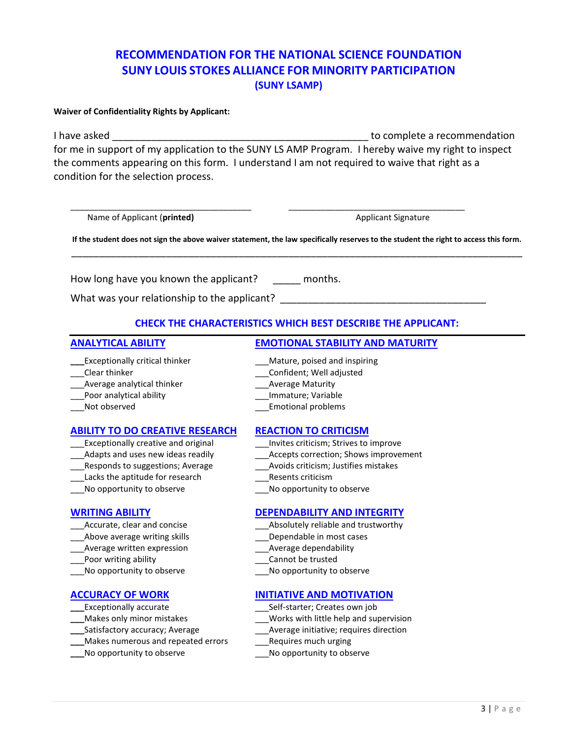# **RECOMMENDATION FOR THE NATIONAL SCIENCE FOUNDATION SUNY LOUIS STOKES ALLIANCE FOR MINORITY PARTICIPATION (SUNY LSAMP)**

## **Waiver of Confidentiality Rights by Applicant:**

I have asked **EXECUTE:** I have asked **the set of the set of the set of the set of the set of the set of the set of the set of the set of the set of the set of the set of the set of the set of the set of the set of the set** for me in support of my application to the SUNY LS AMP Program. I hereby waive my right to inspect the comments appearing on this form. I understand I am not required to waive that right as a condition for the selection process.

\_\_\_\_\_\_\_\_\_\_\_\_\_\_\_\_\_\_\_\_\_\_\_\_\_\_\_\_\_\_\_\_\_\_\_\_\_\_\_ \_\_\_\_\_\_\_\_\_\_\_\_\_\_\_\_\_\_\_\_\_\_\_\_\_\_\_\_\_\_\_\_\_\_\_\_\_\_

Name of Applicant (**printed)** Applicant Signature Applicant Signature Applicant Signature

**If the student does not sign the above waiver statement, the law specifically reserves to the student the right to access this form.** \_\_\_\_\_\_\_\_\_\_\_\_\_\_\_\_\_\_\_\_\_\_\_\_\_\_\_\_\_\_\_\_\_\_\_\_\_\_\_\_\_\_\_\_\_\_\_\_\_\_\_\_\_\_\_\_\_\_\_\_\_\_\_\_\_\_\_\_\_\_\_\_\_\_\_\_\_\_\_\_\_

How long have you known the applicant? \_\_\_\_\_ months.

What was your relationship to the applicant?

# **CHECK THE CHARACTERISTICS WHICH BEST DESCRIBE THE APPLICANT:**

## **\_\_\_Exceptionally critical thinker** \_\_\_\_\_\_\_\_\_\_\_\_\_\_\_\_Mature, poised and inspiring

- 
- \_\_\_Average analytical thinker discussed analytical thinker and all average Maturity
- \_\_\_Poor analytical ability \_\_\_Immature; Variable
- 

## **ABILITY TO DO CREATIVE RESEARCH REACTION TO CRITICISM**

- Exceptionally creative and original **Exceptionally creative and original Exceptionally** creative and original
- 
- 
- Lacks the aptitude for research The Resents criticism
- No opportunity to observe **Example 20** No opportunity to observe

- 
- 
- Average written expression exceeding a subset of Average dependability
- Let the poor writing ability the control of the control of the cannot be trusted
- \_\_\_No opportunity to observe \_\_\_No opportunity to observe

- 
- 
- 
- **\_\_\_**Makes numerous and repeated errors \_\_\_Requires much urging
- **\_\_\_**No opportunity to observe \_\_\_No opportunity to observe

# **ANALYTICAL ABILITY EMOTIONAL STABILITY AND MATURITY**

- 
- \_\_\_Clear thinker \_\_\_Confident; Well adjusted
	-
	-
- Not observed expansion of the control of the Emotional problems

- 
- \_\_\_Adapts and uses new ideas readily \_\_\_Accepts correction; Shows improvement
- \_\_\_Responds to suggestions; Average \_\_\_Avoids criticism; Justifies mistakes
	-
	-

## **WRITING ABILITY DEPENDABILITY AND INTEGRITY**

- Accurate, clear and concise example and trustworthy and trustworthy
	- Above average writing skills example and the Dependable in most cases
		-
		-
		-

# **ACCURACY OF WORK INITIATIVE AND MOTIVATION**

- Exceptionally accurate **Exceptionally accurate Exceptionally** accurate **Exceptionally** accurate
	-
- **\_\_\_**Makes only minor mistakes \_\_\_Works with little help and supervision **\_\_\_**Average initiative; requires direction
	-
	-